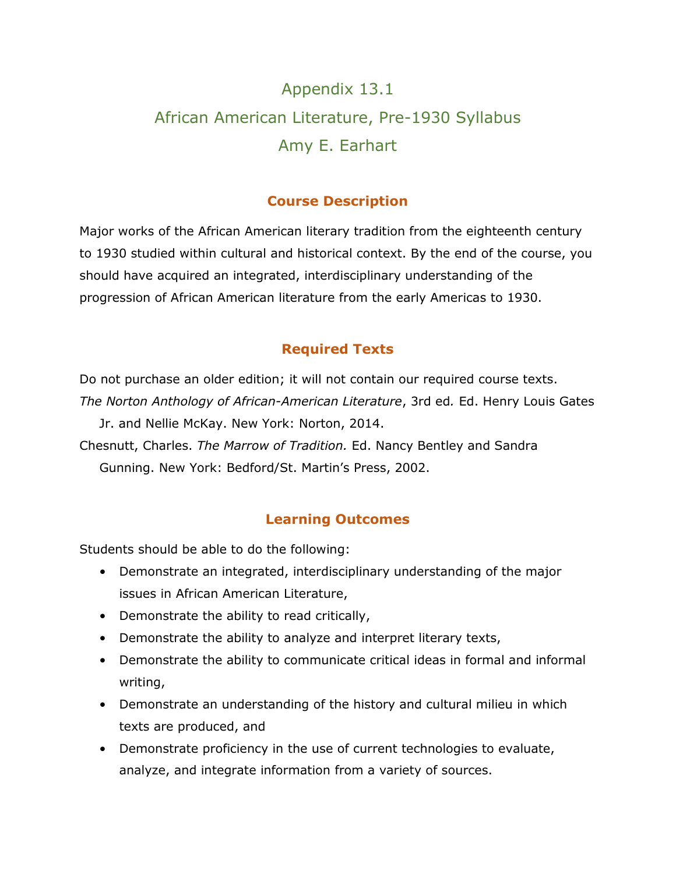# Appendix 13.1 African American Literature, Pre-1930 Syllabus Amy E. Earhart

# **Course Description**

Major works of the African American literary tradition from the eighteenth century to 1930 studied within cultural and historical context. By the end of the course, you should have acquired an integrated, interdisciplinary understanding of the progression of African American literature from the early Americas to 1930.

# **Required Texts**

Do not purchase an older edition; it will not contain our required course texts. *The Norton Anthology of African-American Literature*, 3rd ed*.* Ed. Henry Louis Gates

Jr. and Nellie McKay. New York: Norton, 2014. Chesnutt, Charles. *The Marrow of Tradition.* Ed. Nancy Bentley and Sandra Gunning. New York: Bedford/St. Martin's Press, 2002.

# **Learning Outcomes**

Students should be able to do the following:

- Demonstrate an integrated, interdisciplinary understanding of the major issues in African American Literature,
- Demonstrate the ability to read critically,
- Demonstrate the ability to analyze and interpret literary texts,
- Demonstrate the ability to communicate critical ideas in formal and informal writing,
- Demonstrate an understanding of the history and cultural milieu in which texts are produced, and
- Demonstrate proficiency in the use of current technologies to evaluate, analyze, and integrate information from a variety of sources.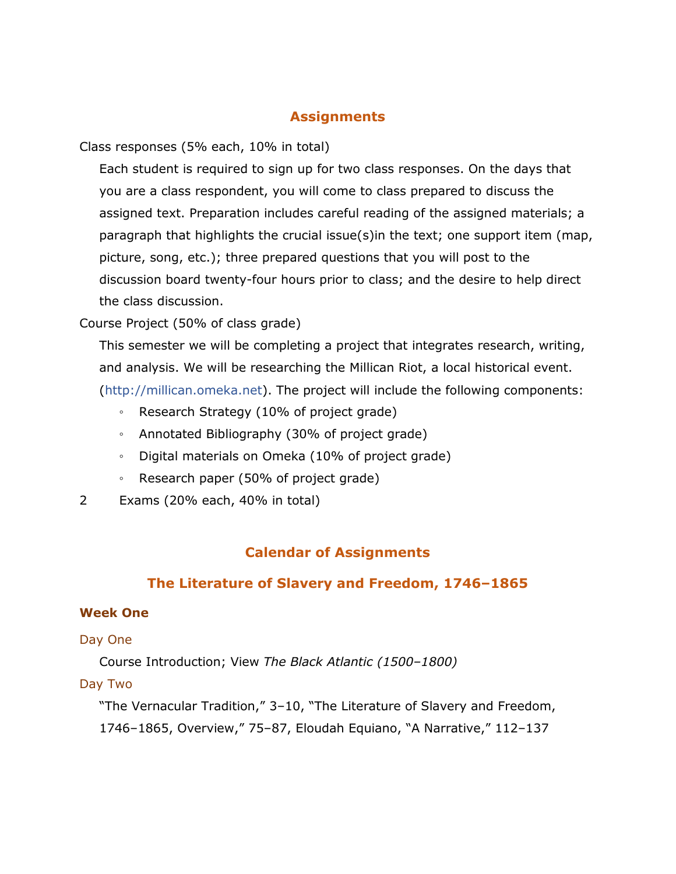# **Assignments**

Class responses (5% each, 10% in total)

Each student is required to sign up for two class responses. On the days that you are a class respondent, you will come to class prepared to discuss the assigned text. Preparation includes careful reading of the assigned materials; a paragraph that highlights the crucial issue(s)in the text; one support item (map, picture, song, etc.); three prepared questions that you will post to the discussion board twenty-four hours prior to class; and the desire to help direct the class discussion.

# Course Project (50% of class grade)

This semester we will be completing a project that integrates research, writing, and analysis. We will be researching the Millican Riot, a local historical event. [\(http://millican.omeka.net\).](http://millican.omeka.net)/) The project will include the following components:

- Research Strategy (10% of project grade)
- Annotated Bibliography (30% of project grade)
- Digital materials on Omeka (10% of project grade)
- Research paper (50% of project grade)
- 2 Exams (20% each, 40% in total)

# **Calendar of Assignments**

# **The Literature of Slavery and Freedom, 1746–1865**

# **Week One**

#### Day One

Course Introduction; View *The Black Atlantic (1500–1800)*

# Day Two

"The Vernacular Tradition," 3–10, "The Literature of Slavery and Freedom, 1746–1865, Overview," 75–87, Eloudah Equiano, "A Narrative," 112–137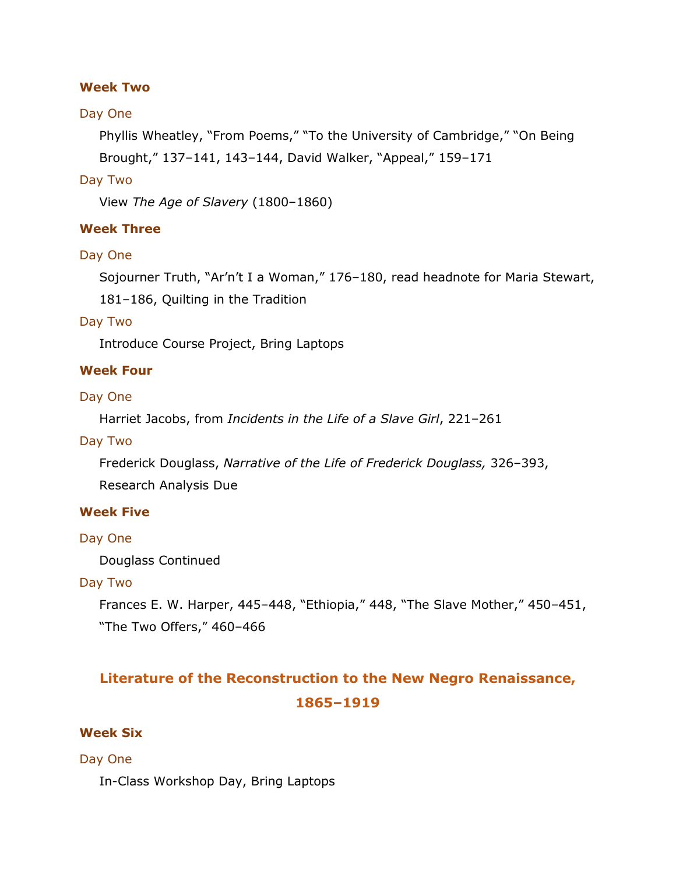#### **Week Two**

#### Day One

Phyllis Wheatley, "From Poems," "To the University of Cambridge," "On Being Brought," 137–141, 143–144, David Walker, "Appeal," 159–171

#### Day Two

View *The Age of Slavery* (1800–1860)

#### **Week Three**

#### Day One

Sojourner Truth, "Ar'n't I a Woman," 176–180, read headnote for Maria Stewart, 181–186, Quilting in the Tradition

#### Day Two

Introduce Course Project, Bring Laptops

#### **Week Four**

#### Day One

Harriet Jacobs, from *Incidents in the Life of a Slave Girl*, 221–261

#### Day Two

Frederick Douglass, *Narrative of the Life of Frederick Douglass,* 326–393,

Research Analysis Due

#### **Week Five**

#### Day One

Douglass Continued

#### Day Two

Frances E. W. Harper, 445–448, "Ethiopia," 448, "The Slave Mother," 450–451, "The Two Offers," 460–466

# **Literature of the Reconstruction to the New Negro Renaissance, 1865–1919**

# **Week Six**

# Day One

In-Class Workshop Day, Bring Laptops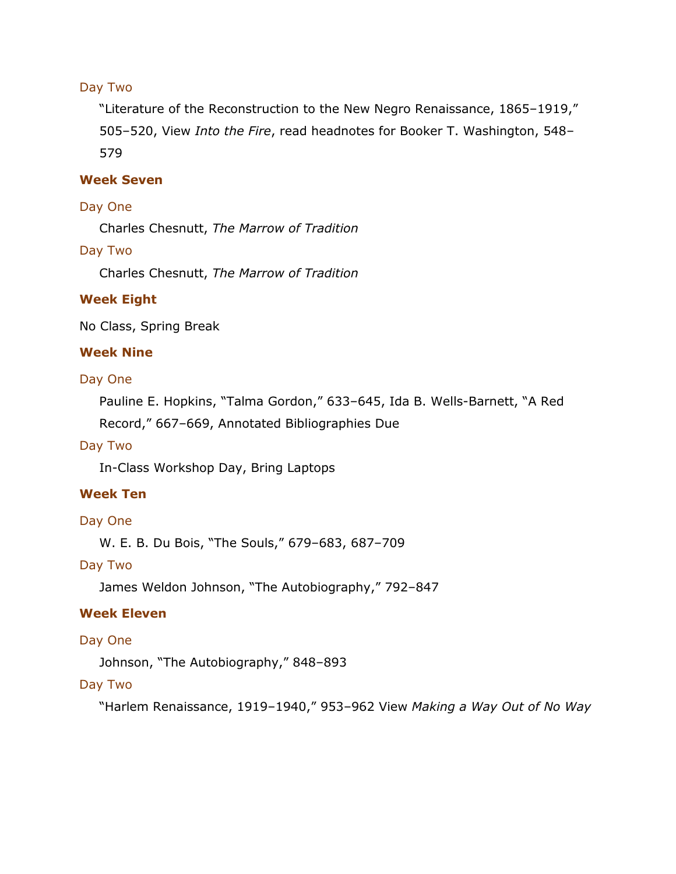# Day Two

"Literature of the Reconstruction to the New Negro Renaissance, 1865–1919," 505–520, View *Into the Fire*, read headnotes for Booker T. Washington, 548– 579

# **Week Seven**

#### Day One

Charles Chesnutt, *The Marrow of Tradition*

#### Day Two

Charles Chesnutt, *The Marrow of Tradition*

#### **Week Eight**

No Class, Spring Break

#### **Week Nine**

#### Day One

Pauline E. Hopkins, "Talma Gordon," 633–645, Ida B. Wells-Barnett, "A Red Record," 667–669, Annotated Bibliographies Due

#### Day Two

In-Class Workshop Day, Bring Laptops

# **Week Ten**

#### Day One

W. E. B. Du Bois, "The Souls," 679–683, 687–709

#### Day Two

James Weldon Johnson, "The Autobiography," 792–847

# **Week Eleven**

#### Day One

Johnson, "The Autobiography," 848–893

#### Day Two

"Harlem Renaissance, 1919–1940," 953–962 View *Making a Way Out of No Way*